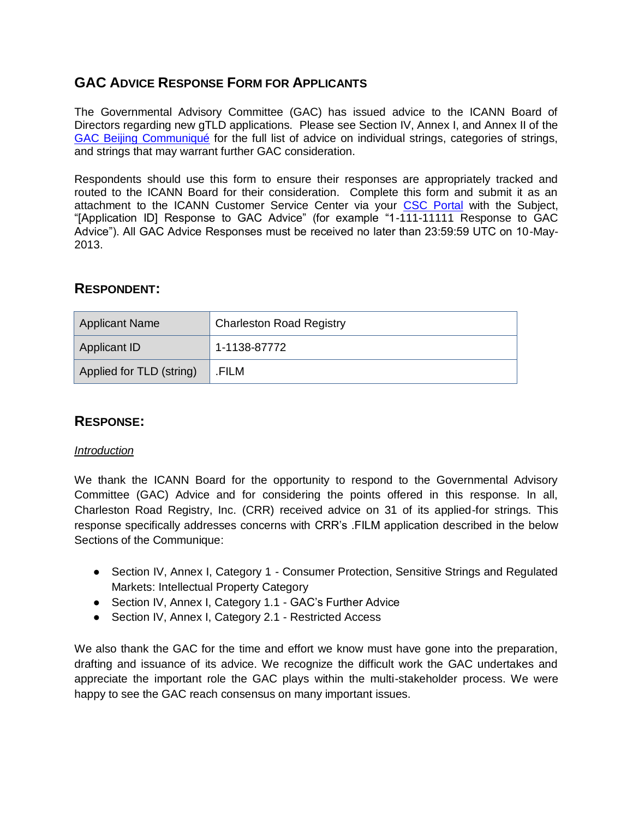# **GAC ADVICE RESPONSE FORM FOR APPLICANTS**

The Governmental Advisory Committee (GAC) has issued advice to the ICANN Board of Directors regarding new gTLD applications. Please see Section IV, Annex I, and Annex II of the [GAC Beijing Communiqué](http://www.icann.org/en/news/correspondence/gac-to-board-18apr13-en.pdf) for the full list of advice on individual strings, categories of strings, and strings that may warrant further GAC consideration.

Respondents should use this form to ensure their responses are appropriately tracked and routed to the ICANN Board for their consideration. Complete this form and submit it as an attachment to the ICANN Customer Service Center via your [CSC Portal](https://myicann.secure.force.com/) with the Subject, "[Application ID] Response to GAC Advice" (for example "1-111-11111 Response to GAC Advice"). All GAC Advice Responses must be received no later than 23:59:59 UTC on 10-May-2013.

## **RESPONDENT:**

| Applicant Name           | <b>Charleston Road Registry</b> |  |
|--------------------------|---------------------------------|--|
| Applicant ID             | 1-1138-87772                    |  |
| Applied for TLD (string) | .FILM                           |  |

# **RESPONSE:**

### *Introduction*

We thank the ICANN Board for the opportunity to respond to the Governmental Advisory Committee (GAC) Advice and for considering the points offered in this response. In all, Charleston Road Registry, Inc. (CRR) received advice on 31 of its applied-for strings. This response specifically addresses concerns with CRR's .FILM application described in the below Sections of the Communique:

- Section IV, Annex I, Category 1 Consumer Protection, Sensitive Strings and Regulated Markets: Intellectual Property Category
- Section IV, Annex I, Category 1.1 GAC's Further Advice
- Section IV, Annex I, Category 2.1 Restricted Access

We also thank the GAC for the time and effort we know must have gone into the preparation, drafting and issuance of its advice. We recognize the difficult work the GAC undertakes and appreciate the important role the GAC plays within the multi-stakeholder process. We were happy to see the GAC reach consensus on many important issues.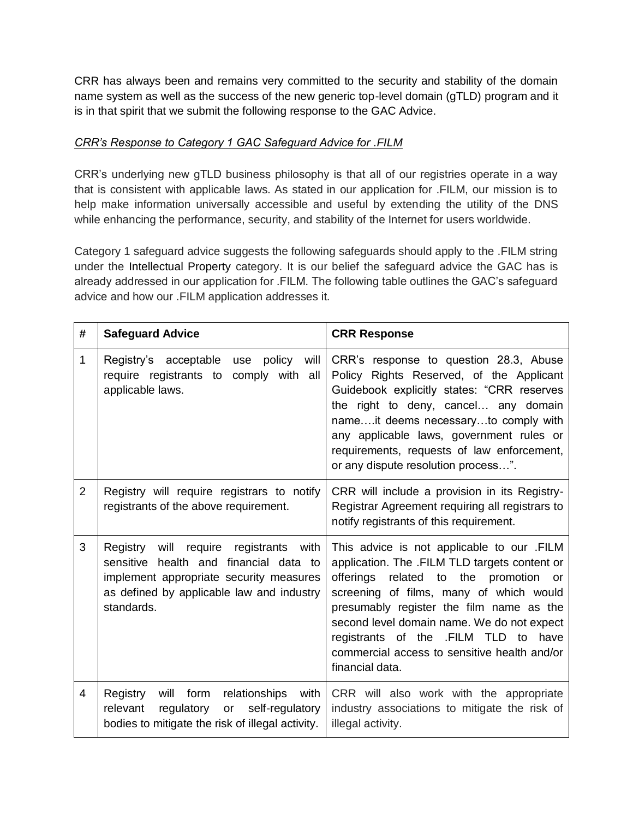CRR has always been and remains very committed to the security and stability of the domain name system as well as the success of the new generic top-level domain (gTLD) program and it is in that spirit that we submit the following response to the GAC Advice.

## *CRR's Response to Category 1 GAC Safeguard Advice for .FILM*

CRR's underlying new gTLD business philosophy is that all of our registries operate in a way that is consistent with applicable laws. As stated in our application for .FILM, our mission is to help make information universally accessible and useful by extending the utility of the DNS while enhancing the performance, security, and stability of the Internet for users worldwide.

Category 1 safeguard advice suggests the following safeguards should apply to the .FILM string under the Intellectual Property category. It is our belief the safeguard advice the GAC has is already addressed in our application for .FILM. The following table outlines the GAC's safeguard advice and how our .FILM application addresses it.

| #              | <b>Safeguard Advice</b>                                                                                                                                                                               | <b>CRR Response</b>                                                                                                                                                                                                                                                                                                                                                                  |
|----------------|-------------------------------------------------------------------------------------------------------------------------------------------------------------------------------------------------------|--------------------------------------------------------------------------------------------------------------------------------------------------------------------------------------------------------------------------------------------------------------------------------------------------------------------------------------------------------------------------------------|
| $\mathbf{1}$   | Registry's acceptable<br>policy<br>will<br>use<br>require registrants to<br>comply with all<br>applicable laws.                                                                                       | CRR's response to question 28.3, Abuse<br>Policy Rights Reserved, of the Applicant<br>Guidebook explicitly states: "CRR reserves<br>the right to deny, cancel any domain<br>nameit deems necessaryto comply with<br>any applicable laws, government rules or<br>requirements, requests of law enforcement,<br>or any dispute resolution process".                                    |
| $\overline{2}$ | Registry will require registrars to notify<br>registrants of the above requirement.                                                                                                                   | CRR will include a provision in its Registry-<br>Registrar Agreement requiring all registrars to<br>notify registrants of this requirement.                                                                                                                                                                                                                                          |
| 3              | will<br>Registry<br>require<br>registrants<br>with<br>health and financial data to<br>sensitive<br>implement appropriate security measures<br>as defined by applicable law and industry<br>standards. | This advice is not applicable to our .FILM<br>application. The .FILM TLD targets content or<br>offerings related to the promotion or<br>screening of films, many of which would<br>presumably register the film name as the<br>second level domain name. We do not expect<br>registrants of the .FILM TLD to have<br>commercial access to sensitive health and/or<br>financial data. |
| 4              | relationships<br>Registry<br>will form<br>with<br>self-regulatory<br>relevant<br>regulatory<br>or<br>bodies to mitigate the risk of illegal activity.                                                 | CRR will also work with the appropriate<br>industry associations to mitigate the risk of<br>illegal activity.                                                                                                                                                                                                                                                                        |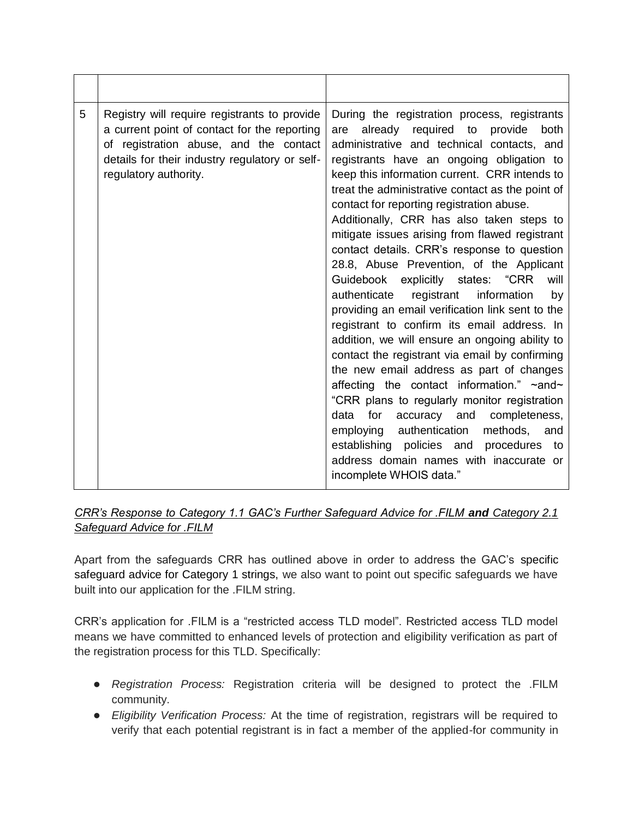| 5 | Registry will require registrants to provide<br>a current point of contact for the reporting<br>of registration abuse, and the contact<br>details for their industry regulatory or self-<br>regulatory authority. | During the registration process, registrants<br>already required to provide<br>both<br>are<br>administrative and technical contacts, and<br>registrants have an ongoing obligation to<br>keep this information current. CRR intends to<br>treat the administrative contact as the point of<br>contact for reporting registration abuse.<br>Additionally, CRR has also taken steps to<br>mitigate issues arising from flawed registrant<br>contact details. CRR's response to question<br>28.8, Abuse Prevention, of the Applicant<br>Guidebook explicitly states: "CRR<br>will<br>registrant<br>information<br>authenticate<br>by<br>providing an email verification link sent to the<br>registrant to confirm its email address. In<br>addition, we will ensure an ongoing ability to<br>contact the registrant via email by confirming<br>the new email address as part of changes<br>affecting the contact information." ~and~<br>"CRR plans to regularly monitor registration<br>accuracy and<br>data<br>for<br>completeness,<br>employing authentication<br>methods, and<br>establishing policies and<br>procedures to<br>address domain names with inaccurate or<br>incomplete WHOIS data." |
|---|-------------------------------------------------------------------------------------------------------------------------------------------------------------------------------------------------------------------|---------------------------------------------------------------------------------------------------------------------------------------------------------------------------------------------------------------------------------------------------------------------------------------------------------------------------------------------------------------------------------------------------------------------------------------------------------------------------------------------------------------------------------------------------------------------------------------------------------------------------------------------------------------------------------------------------------------------------------------------------------------------------------------------------------------------------------------------------------------------------------------------------------------------------------------------------------------------------------------------------------------------------------------------------------------------------------------------------------------------------------------------------------------------------------------------------|

## *CRR's Response to Category 1.1 GAC's Further Safeguard Advice for .FILM and Category 2.1 Safeguard Advice for .FILM*

Apart from the safeguards CRR has outlined above in order to address the GAC's specific safeguard advice for Category 1 strings, we also want to point out specific safeguards we have built into our application for the .FILM string.

CRR's application for .FILM is a "restricted access TLD model". Restricted access TLD model means we have committed to enhanced levels of protection and eligibility verification as part of the registration process for this TLD. Specifically:

- *Registration Process:* Registration criteria will be designed to protect the .FILM community.
- *Eligibility Verification Process:* At the time of registration, registrars will be required to verify that each potential registrant is in fact a member of the applied-for community in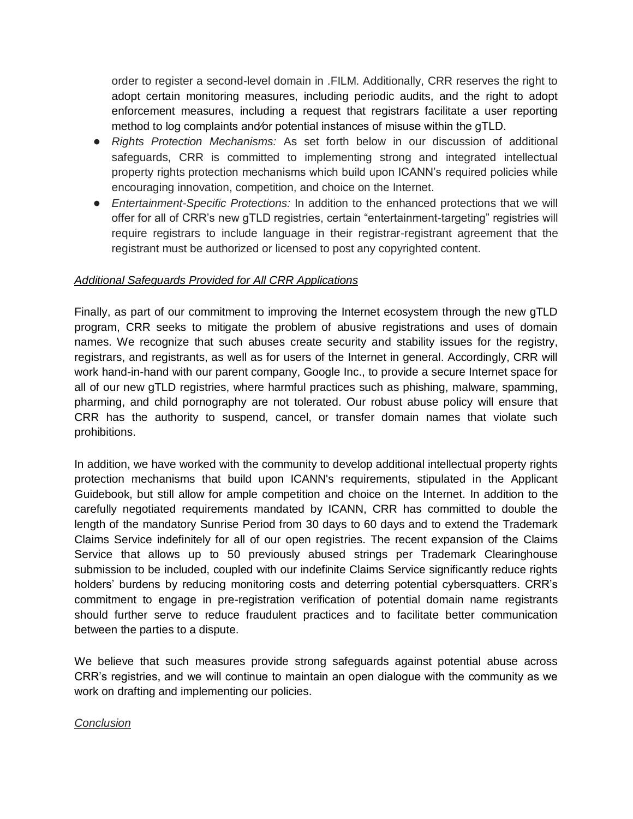order to register a second-level domain in .FILM. Additionally, CRR reserves the right to adopt certain monitoring measures, including periodic audits, and the right to adopt enforcement measures, including a request that registrars facilitate a user reporting method to log complaints and⁄or potential instances of misuse within the gTLD.

- *Rights Protection Mechanisms:* As set forth below in our discussion of additional safeguards, CRR is committed to implementing strong and integrated intellectual property rights protection mechanisms which build upon ICANN's required policies while encouraging innovation, competition, and choice on the Internet.
- *Entertainment-Specific Protections:* In addition to the enhanced protections that we will offer for all of CRR's new gTLD registries, certain "entertainment-targeting" registries will require registrars to include language in their registrar-registrant agreement that the registrant must be authorized or licensed to post any copyrighted content.

### *Additional Safeguards Provided for All CRR Applications*

Finally, as part of our commitment to improving the Internet ecosystem through the new gTLD program, CRR seeks to mitigate the problem of abusive registrations and uses of domain names. We recognize that such abuses create security and stability issues for the registry, registrars, and registrants, as well as for users of the Internet in general. Accordingly, CRR will work hand-in-hand with our parent company, Google Inc., to provide a secure Internet space for all of our new gTLD registries, where harmful practices such as phishing, malware, spamming, pharming, and child pornography are not tolerated. Our robust abuse policy will ensure that CRR has the authority to suspend, cancel, or transfer domain names that violate such prohibitions.

In addition, we have worked with the community to develop additional intellectual property rights protection mechanisms that build upon ICANN's requirements, stipulated in the Applicant Guidebook, but still allow for ample competition and choice on the Internet. In addition to the carefully negotiated requirements mandated by ICANN, CRR has committed to double the length of the mandatory Sunrise Period from 30 days to 60 days and to extend the Trademark Claims Service indefinitely for all of our open registries. The recent expansion of the Claims Service that allows up to 50 previously abused strings per Trademark Clearinghouse submission to be included, coupled with our indefinite Claims Service significantly reduce rights holders' burdens by reducing monitoring costs and deterring potential cybersquatters. CRR's commitment to engage in pre-registration verification of potential domain name registrants should further serve to reduce fraudulent practices and to facilitate better communication between the parties to a dispute.

We believe that such measures provide strong safeguards against potential abuse across CRR's registries, and we will continue to maintain an open dialogue with the community as we work on drafting and implementing our policies.

### *Conclusion*